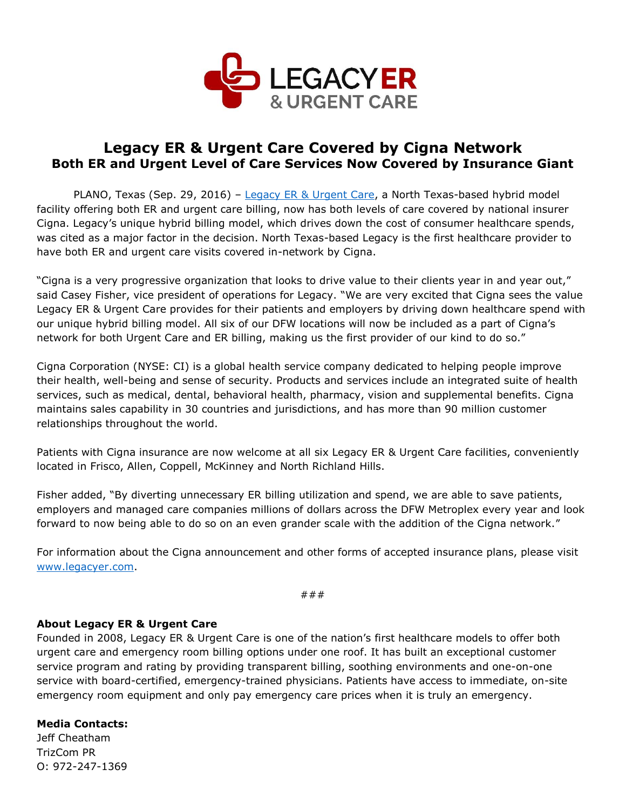

## **Legacy ER & Urgent Care Covered by Cigna Network Both ER and Urgent Level of Care Services Now Covered by Insurance Giant**

PLANO, Texas (Sep. 29, 2016) – [Legacy ER & Urgent Care,](http://www.legacyer.com/) a North Texas-based hybrid model facility offering both ER and urgent care billing, now has both levels of care covered by national insurer Cigna. Legacy's unique hybrid billing model, which drives down the cost of consumer healthcare spends, was cited as a major factor in the decision. North Texas-based Legacy is the first healthcare provider to have both ER and urgent care visits covered in-network by Cigna.

"Cigna is a very progressive organization that looks to drive value to their clients year in and year out," said Casey Fisher, vice president of operations for Legacy. "We are very excited that Cigna sees the value Legacy ER & Urgent Care provides for their patients and employers by driving down healthcare spend with our unique hybrid billing model. All six of our DFW locations will now be included as a part of Cigna's network for both Urgent Care and ER billing, making us the first provider of our kind to do so."

Cigna Corporation (NYSE: CI) is a global health service company dedicated to helping people improve their health, well-being and sense of security. Products and services include an integrated suite of health services, such as medical, dental, behavioral health, pharmacy, vision and supplemental benefits. Cigna maintains sales capability in 30 countries and jurisdictions, and has more than 90 million customer relationships throughout the world.

Patients with Cigna insurance are now welcome at all six Legacy ER & Urgent Care facilities, conveniently located in Frisco, Allen, Coppell, McKinney and North Richland Hills.

Fisher added, "By diverting unnecessary ER billing utilization and spend, we are able to save patients, employers and managed care companies millions of dollars across the DFW Metroplex every year and look forward to now being able to do so on an even grander scale with the addition of the Cigna network."

For information about the Cigna announcement and other forms of accepted insurance plans, please visit [www.legacyer.com.](http://www.legacyer.com/)

###

## **About Legacy ER & Urgent Care**

Founded in 2008, Legacy ER & Urgent Care is one of the nation's first healthcare models to offer both urgent care and emergency room billing options under one roof. It has built an exceptional customer service program and rating by providing transparent billing, soothing environments and one-on-one service with board-certified, emergency-trained physicians. Patients have access to immediate, on-site emergency room equipment and only pay emergency care prices when it is truly an emergency.

## **Media Contacts:**

Jeff Cheatham TrizCom PR O: 972-247-1369